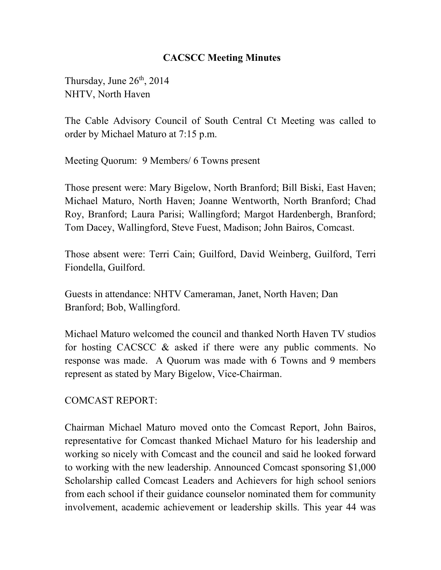#### **CACSCC Meeting Minutes**

Thursday, June  $26<sup>th</sup>$ , 2014 NHTV, North Haven

The Cable Advisory Council of South Central Ct Meeting was called to order by Michael Maturo at 7:15 p.m.

Meeting Quorum: 9 Members/ 6 Towns present

Those present were: Mary Bigelow, North Branford; Bill Biski, East Haven; Michael Maturo, North Haven; Joanne Wentworth, North Branford; Chad Roy, Branford; Laura Parisi; Wallingford; Margot Hardenbergh, Branford; Tom Dacey, Wallingford, Steve Fuest, Madison; John Bairos, Comcast.

Those absent were: Terri Cain; Guilford, David Weinberg, Guilford, Terri Fiondella, Guilford.

Guests in attendance: NHTV Cameraman, Janet, North Haven; Dan Branford; Bob, Wallingford.

Michael Maturo welcomed the council and thanked North Haven TV studios for hosting CACSCC & asked if there were any public comments. No response was made. A Quorum was made with 6 Towns and 9 members represent as stated by Mary Bigelow, Vice-Chairman.

COMCAST REPORT:

Chairman Michael Maturo moved onto the Comcast Report, John Bairos, representative for Comcast thanked Michael Maturo for his leadership and working so nicely with Comcast and the council and said he looked forward to working with the new leadership. Announced Comcast sponsoring \$1,000 Scholarship called Comcast Leaders and Achievers for high school seniors from each school if their guidance counselor nominated them for community involvement, academic achievement or leadership skills. This year 44 was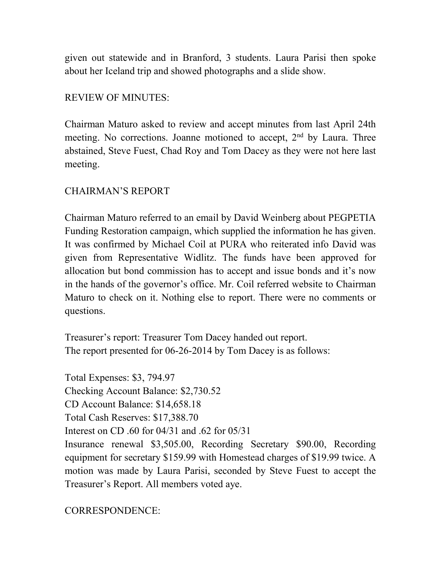given out statewide and in Branford, 3 students. Laura Parisi then spoke about her Iceland trip and showed photographs and a slide show.

### REVIEW OF MINUTES:

Chairman Maturo asked to review and accept minutes from last April 24th meeting. No corrections. Joanne motioned to accept, 2<sup>nd</sup> by Laura. Three abstained, Steve Fuest, Chad Roy and Tom Dacey as they were not here last meeting.

## CHAIRMAN'S REPORT

Chairman Maturo referred to an email by David Weinberg about PEGPETIA Funding Restoration campaign, which supplied the information he has given. It was confirmed by Michael Coil at PURA who reiterated info David was given from Representative Widlitz. The funds have been approved for allocation but bond commission has to accept and issue bonds and it's now in the hands of the governor's office. Mr. Coil referred website to Chairman Maturo to check on it. Nothing else to report. There were no comments or questions.

Treasurer's report: Treasurer Tom Dacey handed out report. The report presented for 06-26-2014 by Tom Dacey is as follows:

Total Expenses: \$3, 794.97 Checking Account Balance: \$2,730.52 CD Account Balance: \$14,658.18 Total Cash Reserves: \$17,388.70 Interest on CD .60 for 04/31 and .62 for 05/31 Insurance renewal \$3,505.00, Recording Secretary \$90.00, Recording equipment for secretary \$159.99 with Homestead charges of \$19.99 twice. A motion was made by Laura Parisi, seconded by Steve Fuest to accept the Treasurer's Report. All members voted aye.

CORRESPONDENCE: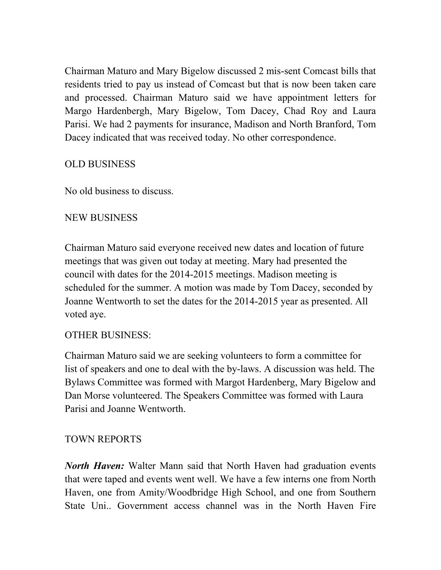Chairman Maturo and Mary Bigelow discussed 2 mis-sent Comcast bills that residents tried to pay us instead of Comcast but that is now been taken care and processed. Chairman Maturo said we have appointment letters for Margo Hardenbergh, Mary Bigelow, Tom Dacey, Chad Roy and Laura Parisi. We had 2 payments for insurance, Madison and North Branford, Tom Dacey indicated that was received today. No other correspondence.

## OLD BUSINESS

No old business to discuss.

## NEW BUSINESS

Chairman Maturo said everyone received new dates and location of future meetings that was given out today at meeting. Mary had presented the council with dates for the 2014-2015 meetings. Madison meeting is scheduled for the summer. A motion was made by Tom Dacey, seconded by Joanne Wentworth to set the dates for the 2014-2015 year as presented. All voted aye.

### OTHER BUSINESS:

Chairman Maturo said we are seeking volunteers to form a committee for list of speakers and one to deal with the by-laws. A discussion was held. The Bylaws Committee was formed with Margot Hardenberg, Mary Bigelow and Dan Morse volunteered. The Speakers Committee was formed with Laura Parisi and Joanne Wentworth.

### TOWN REPORTS

*North Haven:* Walter Mann said that North Haven had graduation events that were taped and events went well. We have a few interns one from North Haven, one from Amity/Woodbridge High School, and one from Southern State Uni.. Government access channel was in the North Haven Fire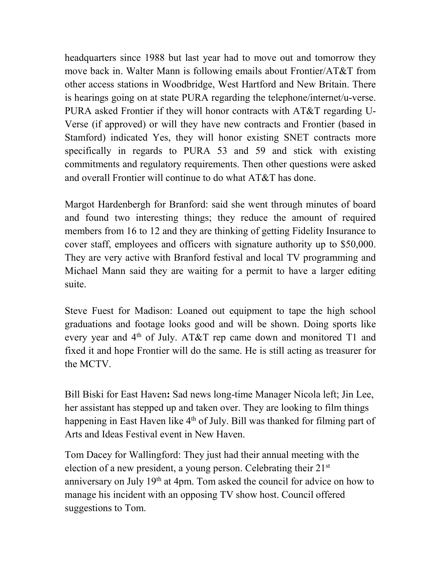headquarters since 1988 but last year had to move out and tomorrow they move back in. Walter Mann is following emails about Frontier/AT&T from other access stations in Woodbridge, West Hartford and New Britain. There is hearings going on at state PURA regarding the telephone/internet/u-verse. PURA asked Frontier if they will honor contracts with AT&T regarding U-Verse (if approved) or will they have new contracts and Frontier (based in Stamford) indicated Yes, they will honor existing SNET contracts more specifically in regards to PURA 53 and 59 and stick with existing commitments and regulatory requirements. Then other questions were asked and overall Frontier will continue to do what AT&T has done.

Margot Hardenbergh for Branford: said she went through minutes of board and found two interesting things; they reduce the amount of required members from 16 to 12 and they are thinking of getting Fidelity Insurance to cover staff, employees and officers with signature authority up to \$50,000. They are very active with Branford festival and local TV programming and Michael Mann said they are waiting for a permit to have a larger editing suite.

Steve Fuest for Madison: Loaned out equipment to tape the high school graduations and footage looks good and will be shown. Doing sports like every year and  $4<sup>th</sup>$  of July. AT&T rep came down and monitored T1 and fixed it and hope Frontier will do the same. He is still acting as treasurer for the MCTV.

Bill Biski for East Haven**:** Sad news long-time Manager Nicola left; Jin Lee, her assistant has stepped up and taken over. They are looking to film things happening in East Haven like 4<sup>th</sup> of July. Bill was thanked for filming part of Arts and Ideas Festival event in New Haven.

Tom Dacey for Wallingford: They just had their annual meeting with the election of a new president, a young person. Celebrating their 21st anniversary on July 19th at 4pm. Tom asked the council for advice on how to manage his incident with an opposing TV show host. Council offered suggestions to Tom.